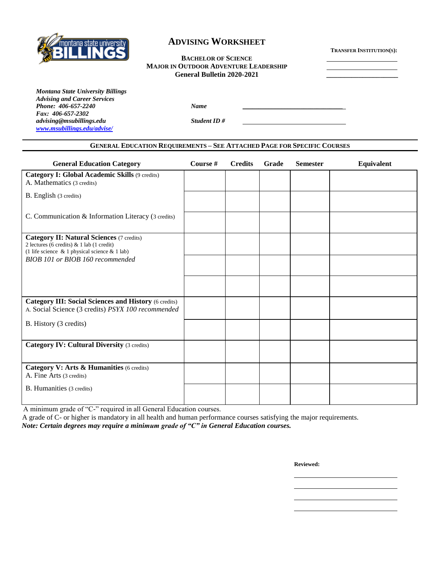

# **ADVISING WORKSHEET**

**TRANSFER INSTITUTION(S):**

#### **BACHELOR OF SCIENCE MAJOR IN OUTDOOR ADVENTURE LEADERSHIP General Bulletin 2020-2021 \_\_\_\_\_\_\_\_\_\_\_\_\_\_\_\_\_\_\_\_**

*Montana State University Billings Advising and Career Services* **Phone:** 406-657-2240 *Name Fax: 406-657-2302 advising@msubillings.edu Student ID # [www.msubillings.edu/advise/](http://www.msubillings.edu/advise/)*

### **GENERAL EDUCATION REQUIREMENTS – SEE ATTACHED PAGE FOR SPECIFIC COURSES**

| <b>General Education Category</b>                                                                                                                | Course # | <b>Credits</b> | Grade | <b>Semester</b> | <b>Equivalent</b> |
|--------------------------------------------------------------------------------------------------------------------------------------------------|----------|----------------|-------|-----------------|-------------------|
| Category I: Global Academic Skills (9 credits)<br>A. Mathematics (3 credits)                                                                     |          |                |       |                 |                   |
| B. English (3 credits)                                                                                                                           |          |                |       |                 |                   |
| C. Communication & Information Literacy (3 credits)                                                                                              |          |                |       |                 |                   |
| <b>Category II: Natural Sciences (7 credits)</b><br>2 lectures (6 credits) $& 1$ lab (1 credit)<br>(1 life science & 1 physical science & 1 lab) |          |                |       |                 |                   |
| BIOB 101 or BIOB 160 recommended                                                                                                                 |          |                |       |                 |                   |
|                                                                                                                                                  |          |                |       |                 |                   |
| <b>Category III: Social Sciences and History (6 credits)</b><br>A. Social Science (3 credits) PSYX 100 recommended                               |          |                |       |                 |                   |
| B. History (3 credits)                                                                                                                           |          |                |       |                 |                   |
| <b>Category IV: Cultural Diversity (3 credits)</b>                                                                                               |          |                |       |                 |                   |
| Category V: Arts & Humanities (6 credits)<br>A. Fine Arts (3 credits)                                                                            |          |                |       |                 |                   |
| <b>B.</b> Humanities (3 credits)                                                                                                                 |          |                |       |                 |                   |

A minimum grade of "C-" required in all General Education courses.

 A grade of C- or higher is mandatory in all health and human performance courses satisfying the major requirements. *Note: Certain degrees may require a minimum grade of "C" in General Education courses.*

**Reviewed:**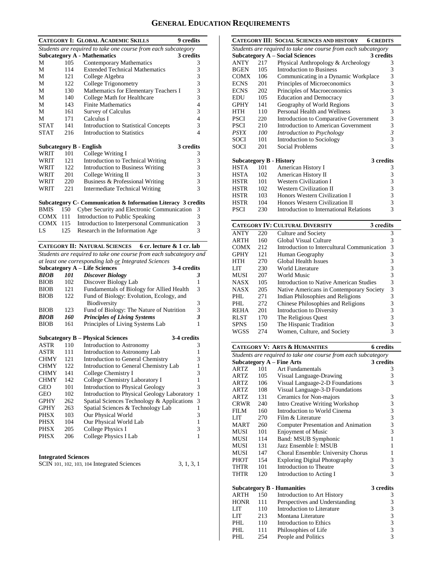## **GENERAL EDUCATION REQUIREMENTS**

|                 |                                                                | <b>CATEGORY I: GLOBAL ACADEMIC SKILLS</b>                      | 9 credits      |  |  |  |  |
|-----------------|----------------------------------------------------------------|----------------------------------------------------------------|----------------|--|--|--|--|
|                 | Students are required to take one course from each subcategory |                                                                |                |  |  |  |  |
|                 |                                                                | <b>Subcategory A - Mathematics</b>                             | 3 credits      |  |  |  |  |
| M               | 105                                                            | Contemporary Mathematics                                       | 3              |  |  |  |  |
| М               | 114                                                            | <b>Extended Technical Mathematics</b>                          | 3              |  |  |  |  |
| М               | 121                                                            | College Algebra                                                | 3              |  |  |  |  |
| М               | 122                                                            | College Trigonometry                                           | 3              |  |  |  |  |
| М               | 130                                                            | Mathematics for Elementary Teachers I                          | 3              |  |  |  |  |
| M               | 140                                                            | College Math for Healthcare                                    | 3              |  |  |  |  |
| М               | 143                                                            | <b>Finite Mathematics</b>                                      | $\overline{4}$ |  |  |  |  |
| М               | 161                                                            | <b>Survey of Calculus</b>                                      | 3              |  |  |  |  |
| М               | 171                                                            | Calculus I                                                     | 4              |  |  |  |  |
| <b>STAT</b>     | 141                                                            | <b>Introduction to Statistical Concepts</b>                    | 3              |  |  |  |  |
| <b>STAT</b>     | 216                                                            | Introduction to Statistics                                     | $\overline{4}$ |  |  |  |  |
|                 |                                                                |                                                                |                |  |  |  |  |
|                 |                                                                | <b>Subcategory B - English</b>                                 | 3 credits      |  |  |  |  |
| WRIT            | 101                                                            | College Writing I                                              | 3              |  |  |  |  |
| WRIT            | 12.1                                                           | Introduction to Technical Writing                              | 3              |  |  |  |  |
| WRIT            | 122                                                            | <b>Introduction to Business Writing</b>                        | 3              |  |  |  |  |
| WRIT            | 201                                                            | College Writing II                                             | 3              |  |  |  |  |
| WRIT            | 220                                                            | Business & Professional Writing                                | $\frac{3}{3}$  |  |  |  |  |
| WRIT            | 221                                                            | Intermediate Technical Writing                                 |                |  |  |  |  |
|                 |                                                                |                                                                |                |  |  |  |  |
|                 |                                                                | Subcategory C - Communication & Information Literacy 3 credits |                |  |  |  |  |
| <b>BMIS</b>     | 150                                                            | Cyber Security and Electronic Communication                    | 3              |  |  |  |  |
| COMX 111        |                                                                | Introduction to Public Speaking                                | 3              |  |  |  |  |
| <b>COMX 115</b> |                                                                | Introduction to Interpersonal Communication                    | 3              |  |  |  |  |
| LS              | 125                                                            | Research in the Information Age                                | 3              |  |  |  |  |
|                 |                                                                |                                                                |                |  |  |  |  |

### **CATEGORY II: NATURAL SCIENCES 6 cr. lecture & 1 cr. lab**

*Students are required to take one course from each subcategory and at least one corresponding lab or Integrated Sciences*

|     | 3-4 credits                               |                                      |
|-----|-------------------------------------------|--------------------------------------|
| 101 | <b>Discover Biology</b>                   | 3                                    |
| 102 | Discover Biology Lab                      | 1                                    |
| 121 | Fundamentals of Biology for Allied Health | 3                                    |
| 122 | Fund of Biology: Evolution, Ecology, and  |                                      |
|     | Biodiversity                              | 3                                    |
| 123 | Fund of Biology: The Nature of Nutrition  | 3                                    |
| 160 | <b>Principles of Living Systems</b>       | 3                                    |
| 161 | Principles of Living Systems Lab          | 1                                    |
|     |                                           | <b>Subcategory A – Life Sciences</b> |

|             |     | <b>Subcategory B - Physical Sciences</b>    | 3-4 credits |    |
|-------------|-----|---------------------------------------------|-------------|----|
| <b>ASTR</b> | 110 | Introduction to Astronomy                   |             | 3  |
| <b>ASTR</b> | 111 | Introduction to Astronomy Lab               |             |    |
| <b>CHMY</b> | 121 | Introduction to General Chemistry           |             | 3  |
| <b>CHMY</b> | 122 | Introduction to General Chemistry Lab       |             |    |
| <b>CHMY</b> | 141 | College Chemistry I                         |             | 3  |
| <b>CHMY</b> | 142 | College Chemistry Laboratory I              |             |    |
| <b>GEO</b>  | 101 | <b>Introduction to Physical Geology</b>     |             | 3  |
| GEO         | 102 | Introduction to Physical Geology Laboratory |             | -1 |
| <b>GPHY</b> | 262 | Spatial Sciences Technology & Applications  |             | 3  |
| <b>GPHY</b> | 263 | Spatial Sciences & Technology Lab           |             |    |
| PHSX        | 103 | Our Physical World                          |             | 3  |
| <b>PHSX</b> | 104 | Our Physical World Lab                      |             | 1  |
| <b>PHSX</b> | 205 | College Physics I                           |             | 3  |
| <b>PHSX</b> | 206 | College Physics I Lab                       |             | 1  |
|             |     |                                             |             |    |

#### **Integrated Sciences**

| SCIN 101, 102, 103, 104 Integrated Sciences | 3, 1, 3, 1 |
|---------------------------------------------|------------|
|---------------------------------------------|------------|

|             |                                                                | <b>CATEGORY III: SOCIAL SCIENCES AND HISTORY</b><br><b>6 CREDITS</b> |                |  |  |  |
|-------------|----------------------------------------------------------------|----------------------------------------------------------------------|----------------|--|--|--|
|             | Students are required to take one course from each subcategory |                                                                      |                |  |  |  |
|             |                                                                | <b>Subcategory A - Social Sciences</b>                               | 3 credits      |  |  |  |
| <b>ANTY</b> | 217                                                            | Physical Anthropology & Archeology                                   | 3              |  |  |  |
| <b>BGEN</b> | 105                                                            | <b>Introduction to Business</b>                                      | 3              |  |  |  |
| COMX        | 106                                                            | Communicating in a Dynamic Workplace                                 | 3              |  |  |  |
| <b>ECNS</b> | 201                                                            | Principles of Microeconomics                                         | 3              |  |  |  |
| <b>ECNS</b> | 202                                                            | Principles of Macroeconomics                                         | 3              |  |  |  |
| EDU         | 105                                                            | <b>Education and Democracy</b>                                       | 3              |  |  |  |
| GPHY        | 141                                                            | Geography of World Regions                                           | 3              |  |  |  |
| <b>HTH</b>  | 110                                                            | Personal Health and Wellness                                         | 3              |  |  |  |
| <b>PSCI</b> | 220                                                            | Introduction to Comparative Government                               | 3              |  |  |  |
| PSCI        | 210                                                            | Introduction to American Government                                  | 3              |  |  |  |
| PSYX        | 100                                                            | Introduction to Psychology                                           | $\overline{3}$ |  |  |  |
| SOCI        | 101                                                            | Introduction to Sociology                                            | 3              |  |  |  |
| <b>SOCI</b> | 201                                                            | Social Problems                                                      | 3              |  |  |  |
|             |                                                                |                                                                      |                |  |  |  |
|             |                                                                | <b>Subcategory B - History</b>                                       | 3 credits      |  |  |  |
| <b>HSTA</b> | 101                                                            | American History I                                                   | 3              |  |  |  |
| <b>HSTA</b> | 102                                                            | American History II                                                  | 3              |  |  |  |
| <b>HSTR</b> | 101                                                            | <b>Western Civilization I</b>                                        | 3              |  |  |  |
| <b>HSTR</b> | 102                                                            | <b>Western Civilization II</b>                                       | 3              |  |  |  |
| <b>HSTR</b> | 103                                                            | Honors Western Civilization I                                        | 3              |  |  |  |
| <b>HSTR</b> | 104                                                            | Honors Western Civilization II                                       | 3              |  |  |  |
| <b>PSCI</b> | 230                                                            | Introduction to International Relations                              | 3              |  |  |  |

| 220  | Culture and Society                      | 3                                                                                                  |
|------|------------------------------------------|----------------------------------------------------------------------------------------------------|
| 160  | Global Visual Culture                    | 3                                                                                                  |
| 2.12 |                                          | 3                                                                                                  |
| 121  | Human Geography                          | 3                                                                                                  |
| 270  | <b>Global Health Issues</b>              | 3                                                                                                  |
| 230  | World Literature                         | 3                                                                                                  |
| 207  | World Music                              | 3                                                                                                  |
| 105  | Introduction to Native American Studies  | 3                                                                                                  |
| 205  | Native Americans in Contemporary Society | 3                                                                                                  |
| 271  | Indian Philosophies and Religions        | 3                                                                                                  |
| 272  | Chinese Philosophies and Religions       | 3                                                                                                  |
| 201  | Introduction to Diversity                | 3                                                                                                  |
| 170  | The Religious Quest                      | 3                                                                                                  |
| 150  | The Hispanic Tradition                   | 3                                                                                                  |
| 274  | Women, Culture, and Society              | 3                                                                                                  |
|      |                                          | <b>CATEGORY IV: CULTURAL DIVERSITY</b><br>3 credits<br>Introduction to Intercultural Communication |

|                                                                |     | <b>CATEGORY V: ARTS &amp; HUMANITIES</b> | <b>6</b> credits                                     |  |  |  |  |
|----------------------------------------------------------------|-----|------------------------------------------|------------------------------------------------------|--|--|--|--|
| Students are required to take one course from each subcategory |     |                                          |                                                      |  |  |  |  |
|                                                                |     | <b>Subcategory A - Fine Arts</b>         | 3 credits                                            |  |  |  |  |
| ARTZ                                                           | 101 | Art Fundamentals                         | 3                                                    |  |  |  |  |
| ARTZ                                                           | 105 | Visual Language-Drawing                  | 3                                                    |  |  |  |  |
| ARTZ                                                           | 106 | Visual Language-2-D Foundations          | $\overline{3}$                                       |  |  |  |  |
| ARTZ                                                           | 108 | Visual Language-3-D Foundations          |                                                      |  |  |  |  |
| ARTZ.                                                          | 131 | Ceramics for Non-majors                  | 3                                                    |  |  |  |  |
| <b>CRWR</b>                                                    | 240 | Intro Creative Writing Workshop          |                                                      |  |  |  |  |
| FILM                                                           | 160 | Introduction to World Cinema             |                                                      |  |  |  |  |
| LIT                                                            | 270 | Film & Literature                        | $\begin{array}{c} 3 \\ 3 \\ 3 \\ 3 \end{array}$      |  |  |  |  |
| <b>MART</b>                                                    | 260 | Computer Presentation and Animation      |                                                      |  |  |  |  |
| MUSI                                                           | 101 | <b>Enjoyment of Music</b>                |                                                      |  |  |  |  |
| <b>MUSI</b>                                                    | 114 | Band: MSUB Symphonic                     | $\overline{1}$                                       |  |  |  |  |
| MUSI                                                           | 131 | Jazz Ensemble I: MSUB                    | 1                                                    |  |  |  |  |
| MUSI                                                           | 147 | Choral Ensemble: University Chorus       | 1                                                    |  |  |  |  |
| <b>PHOT</b>                                                    | 154 | <b>Exploring Digital Photography</b>     |                                                      |  |  |  |  |
| THTR                                                           | 101 | Introduction to Theatre                  | $\begin{array}{c} 3 \\ 3 \\ 3 \end{array}$           |  |  |  |  |
| <b>THTR</b>                                                    | 120 | Introduction to Acting I                 |                                                      |  |  |  |  |
|                                                                |     | <b>Subcategory B - Humanities</b>        | 3 credits                                            |  |  |  |  |
| ARTH                                                           | 150 | Introduction to Art History              | 3                                                    |  |  |  |  |
| <b>HONR</b>                                                    | 111 | Perspectives and Understanding           |                                                      |  |  |  |  |
| <b>LIT</b>                                                     | 110 | Introduction to Literature               |                                                      |  |  |  |  |
| LIT                                                            | 213 | Montana Literature                       |                                                      |  |  |  |  |
| PHL                                                            | 110 | Introduction to Ethics                   | $\begin{array}{c} 3 \\ 3 \\ 3 \\ 3 \\ 3 \end{array}$ |  |  |  |  |
| PHI.                                                           | 111 | Philosophies of Life                     |                                                      |  |  |  |  |
| PHL                                                            | 254 | People and Politics                      |                                                      |  |  |  |  |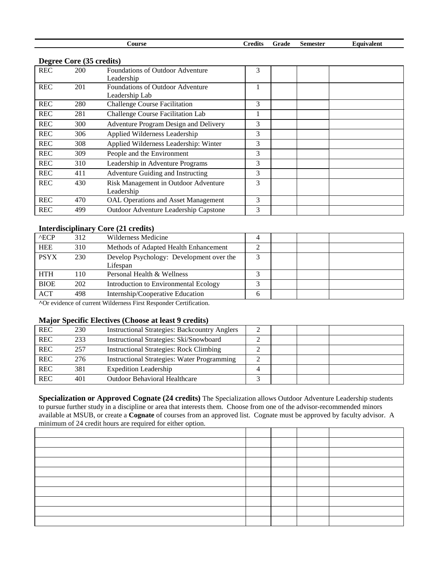| <b>Course</b> | <br>Frade<br>redits | Semester | ⊎auıvalent |
|---------------|---------------------|----------|------------|

### **Degree Core (35 credits)**

|            | $\mathbf{E}$ |                                            |   |  |
|------------|--------------|--------------------------------------------|---|--|
| <b>REC</b> | <b>200</b>   | <b>Foundations of Outdoor Adventure</b>    | 3 |  |
|            |              | Leadership                                 |   |  |
| <b>REC</b> | 201          | <b>Foundations of Outdoor Adventure</b>    |   |  |
|            |              | Leadership Lab                             |   |  |
| <b>REC</b> | 280          | <b>Challenge Course Facilitation</b>       | 3 |  |
| <b>REC</b> | 281          | Challenge Course Facilitation Lab          |   |  |
| <b>REC</b> | 300          | Adventure Program Design and Delivery      | 3 |  |
| <b>REC</b> | 306          | Applied Wilderness Leadership              | 3 |  |
| <b>REC</b> | 308          | Applied Wilderness Leadership: Winter      | 3 |  |
| <b>REC</b> | 309          | People and the Environment                 | 3 |  |
| <b>REC</b> | 310          | Leadership in Adventure Programs           | 3 |  |
| <b>REC</b> | 411          | Adventure Guiding and Instructing          | 3 |  |
| <b>REC</b> | 430          | Risk Management in Outdoor Adventure       | 3 |  |
|            |              | Leadership                                 |   |  |
| <b>REC</b> | 470          | <b>OAL Operations and Asset Management</b> | 3 |  |
| <b>REC</b> | 499          | Outdoor Adventure Leadership Capstone      | 3 |  |

### **Interdisciplinary Core (21 credits)**

| $^{\wedge}$ ECP | 312 | Wilderness Medicine                      | 4 |  |  |
|-----------------|-----|------------------------------------------|---|--|--|
| <b>HEE</b>      | 310 | Methods of Adapted Health Enhancement    |   |  |  |
| <b>PSYX</b>     | 230 | Develop Psychology: Development over the |   |  |  |
|                 |     | Lifespan                                 |   |  |  |
| <b>HTH</b>      | 110 | Personal Health & Wellness               |   |  |  |
| <b>BIOE</b>     | 202 | Introduction to Environmental Ecology    |   |  |  |
| <b>ACT</b>      | 498 | Internship/Cooperative Education         | h |  |  |
|                 |     |                                          |   |  |  |

**^**Or evidence of current Wilderness First Responder Certification.

### **Major Specific Electives (Choose at least 9 credits)**

| <b>REC</b> | 230 | <b>Instructional Strategies: Backcountry Anglers</b> |  |  |
|------------|-----|------------------------------------------------------|--|--|
| <b>REC</b> | 233 | Instructional Strategies: Ski/Snowboard              |  |  |
| <b>REC</b> | 257 | <b>Instructional Strategies: Rock Climbing</b>       |  |  |
| <b>REC</b> | 276 | <b>Instructional Strategies: Water Programming</b>   |  |  |
| <b>REC</b> | 381 | <b>Expedition Leadership</b>                         |  |  |
| <b>REC</b> | 401 | <b>Outdoor Behavioral Healthcare</b>                 |  |  |

**Specialization or Approved Cognate (24 credits)** The Specialization allows Outdoor Adventure Leadership students to pursue further study in a discipline or area that interests them. Choose from one of the advisor-recommended minors available at MSUB, or create a **Cognate** of courses from an approved list. Cognate must be approved by faculty advisor. A minimum of 24 credit hours are required for either option.